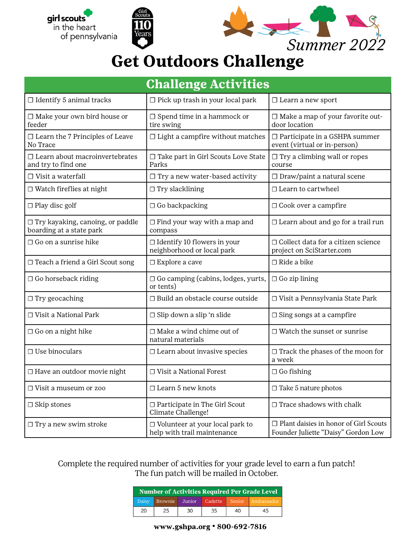



## **Get Outdoors Challenge**

| <b>Challenge Activities</b>                                         |                                                                       |                                                                                     |  |  |  |
|---------------------------------------------------------------------|-----------------------------------------------------------------------|-------------------------------------------------------------------------------------|--|--|--|
| $\Box$ Identify 5 animal tracks                                     | $\Box$ Pick up trash in your local park                               | $\Box$ Learn a new sport                                                            |  |  |  |
| $\Box$ Make your own bird house or<br>feeder                        | $\Box$ Spend time in a hammock or<br>tire swing                       | $\Box$ Make a map of your favorite out-<br>door location                            |  |  |  |
| $\Box$ Learn the 7 Principles of Leave<br>No Trace                  | $\Box$ Light a campfire without matches                               | $\Box$ Participate in a GSHPA summer<br>event (virtual or in-person)                |  |  |  |
| $\Box$ Learn about macroinvertebrates<br>and try to find one        | $\Box$ Take part in Girl Scouts Love State<br>Parks                   | $\Box$ Try a climbing wall or ropes<br>course                                       |  |  |  |
| $\Box$ Visit a waterfall                                            | $\Box$ Try a new water-based activity                                 | □ Draw/paint a natural scene                                                        |  |  |  |
| $\Box$ Watch fireflies at night                                     | $\Box$ Try slacklining                                                | $\Box$ Learn to cartwheel                                                           |  |  |  |
| $\Box$ Play disc golf                                               | $\Box$ Go backpacking                                                 | $\Box$ Cook over a campfire                                                         |  |  |  |
| $\Box$ Try kayaking, canoing, or paddle<br>boarding at a state park | $\Box$ Find your way with a map and<br>compass                        | □ Learn about and go for a trail run                                                |  |  |  |
| $\Box$ Go on a sunrise hike                                         | $\Box$ Identify 10 flowers in your<br>neighborhood or local park      | □ Collect data for a citizen science<br>project on SciStarter.com                   |  |  |  |
| □ Teach a friend a Girl Scout song                                  | $\Box$ Explore a cave                                                 | $\Box$ Ride a bike                                                                  |  |  |  |
| $\Box$ Go horseback riding                                          | $\Box$ Go camping (cabins, lodges, yurts,<br>or tents)                | $\Box$ Go zip lining                                                                |  |  |  |
| $\Box$ Try geocaching                                               | □ Build an obstacle course outside                                    | □ Visit a Pennsylvania State Park                                                   |  |  |  |
| $\Box$ Visit a National Park                                        | $\Box$ Slip down a slip 'n slide                                      | $\Box$ Sing songs at a campfire                                                     |  |  |  |
| $\Box$ Go on a night hike                                           | $\Box$ Make a wind chime out of<br>natural materials                  | $\Box$ Watch the sunset or sunrise                                                  |  |  |  |
| $\Box$ Use binoculars                                               | $\Box$ Learn about invasive species                                   | $\Box$ Track the phases of the moon for<br>a week                                   |  |  |  |
| □ Have an outdoor movie night                                       | □ Visit a National Forest                                             | $\Box$ Go fishing                                                                   |  |  |  |
| $\Box$ Visit a museum or zoo                                        | □ Learn 5 new knots                                                   | $\Box$ Take 5 nature photos                                                         |  |  |  |
| $\Box$ Skip stones                                                  | □ Participate in The Girl Scout<br>Climate Challenge!                 | $\Box$ Trace shadows with chalk                                                     |  |  |  |
| $\Box$ Try a new swim stroke                                        | $\Box$ Volunteer at your local park to<br>help with trail maintenance | $\Box$ Plant daisies in honor of Girl Scouts<br>Founder Juliette "Daisy" Gordon Low |  |  |  |

Complete the required number of activities for your grade level to earn a fun patch! The fun patch will be mailed in October.

| <b>Number of Activities Required Per Grade Level</b> |         |        |         |        |            |
|------------------------------------------------------|---------|--------|---------|--------|------------|
| Daisy                                                | Brownie | Junior | Cadette | Senior | Ambassador |
| 20                                                   | 25      | 30     | 35      | 40     | 45         |

www.gshpa.org · 800-692-7816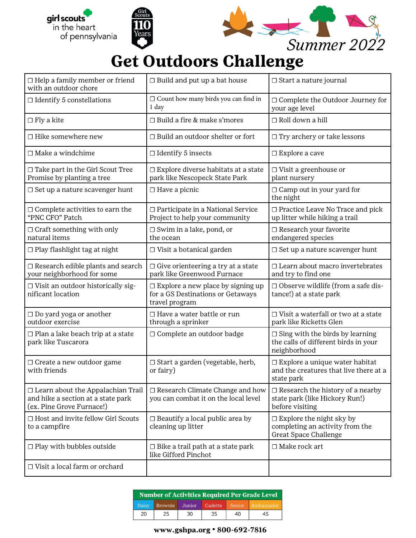



## **Get Outdoors Challenge**

| $\Box$ Help a family member or friend<br>with an outdoor chore                                              | $\Box$ Build and put up a bat house                                                             | $\Box$ Start a nature journal                                                                  |  |
|-------------------------------------------------------------------------------------------------------------|-------------------------------------------------------------------------------------------------|------------------------------------------------------------------------------------------------|--|
| $\Box$ Identify 5 constellations                                                                            | $\Box$ Count how many birds you can find in<br>1 day                                            | □ Complete the Outdoor Journey for<br>your age level                                           |  |
| $\Box$ Fly a kite                                                                                           | $\Box$ Build a fire & make s'mores                                                              | $\Box$ Roll down a hill                                                                        |  |
| $\Box$ Hike somewhere new                                                                                   | $\Box$ Build an outdoor shelter or fort                                                         | $\Box$ Try archery or take lessons                                                             |  |
| $\Box$ Make a windchime                                                                                     | $\Box$ Identify 5 insects                                                                       | $\square$ Explore a cave                                                                       |  |
| $\Box$ Take part in the Girl Scout Tree<br>Promise by planting a tree                                       | $\Box$ Explore diverse habitats at a state<br>park like Nescopeck State Park                    | $\Box$ Visit a greenhouse or<br>plant nursery                                                  |  |
| $\Box$ Set up a nature scavenger hunt                                                                       | $\Box$ Have a picnic                                                                            | $\Box$ Camp out in your yard for<br>the night                                                  |  |
| $\Box$ Complete activities to earn the<br>"PNC CFO" Patch                                                   | □ Participate in a National Service<br>Project to help your community                           | □ Practice Leave No Trace and pick<br>up litter while hiking a trail                           |  |
| $\Box$ Craft something with only<br>natural items                                                           | $\Box$ Swim in a lake, pond, or<br>the ocean                                                    | □ Research your favorite<br>endangered species                                                 |  |
| $\Box$ Play flashlight tag at night                                                                         | $\Box$ Visit a botanical garden                                                                 | $\Box$ Set up a nature scavenger hunt                                                          |  |
| $\Box$ Research edible plants and search<br>your neighborhood for some                                      | $\Box$ Give orienteering a try at a state<br>park like Greenwood Furnace                        | □ Learn about macro invertebrates<br>and try to find one                                       |  |
| □ Visit an outdoor historically sig-<br>nificant location                                                   | $\Box$ Explore a new place by signing up<br>for a GS Destinations or Getaways<br>travel program | $\Box$ Observe wildlife (from a safe dis-<br>tance!) at a state park                           |  |
| $\Box$ Do yard yoga or another<br>outdoor exercise                                                          | $\Box$ Have a water battle or run<br>through a sprinker                                         | $\Box$ Visit a waterfall or two at a state<br>park like Ricketts Glen                          |  |
| $\Box$ Plan a lake beach trip at a state<br>park like Tuscarora                                             | $\Box$ Complete an outdoor badge                                                                | $\Box$ Sing with the birds by learning<br>the calls of different birds in your<br>neighborhood |  |
| □ Create a new outdoor game<br>with friends                                                                 | □ Start a garden (vegetable, herb,<br>or fairy)                                                 | $\Box$ Explore a unique water habitat<br>and the creatures that live there at a<br>state park  |  |
| $\Box$ Learn about the Appalachian Trail<br>and hike a section at a state park<br>(ex. Pine Grove Furnace!) | □ Research Climate Change and how<br>you can combat it on the local level                       | $\Box$ Research the history of a nearby<br>state park (like Hickory Run!)<br>before visiting   |  |
| $\Box$ Host and invite fellow Girl Scouts<br>to a campfire                                                  | $\Box$ Beautify a local public area by<br>cleaning up litter                                    | $\Box$ Explore the night sky by<br>completing an activity from the<br>Great Space Challenge    |  |
| $\Box$ Play with bubbles outside                                                                            | $\Box$ Bike a trail path at a state park<br>like Gifford Pinchot                                | $\Box$ Make rock art                                                                           |  |
| $\Box$ Visit a local farm or orchard                                                                        |                                                                                                 |                                                                                                |  |

| <b>Number of Activities Required Per Grade Level</b> |         |        |         |        |            |
|------------------------------------------------------|---------|--------|---------|--------|------------|
| Daisy                                                | Brownie | Junior | Cadette | Senior | Ambassador |
| 20                                                   | 25      | 30     | 35      | 40     | 45         |

www.gshpa.org · 800-692-7816